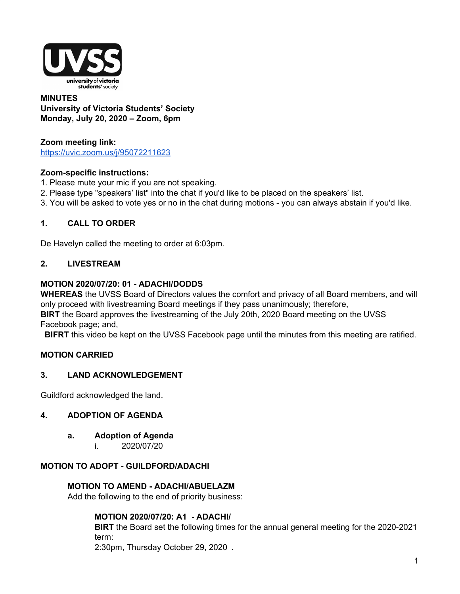

#### **MINUTES University of Victoria Students' Society Monday, July 20, 2020 – Zoom, 6pm**

# **Zoom meeting link:**

https://uvic.zoom.us/j/95072211623

### **Zoom-specific instructions:**

- 1. Please mute your mic if you are not speaking.
- 2. Please type "speakers' list" into the chat if you'd like to be placed on the speakers' list.
- 3. You will be asked to vote yes or no in the chat during motions you can always abstain if you'd like.

# **1. CALL TO ORDER**

De Havelyn called the meeting to order at 6:03pm.

### **2. LIVESTREAM**

### **MOTION 2020/07/20: 01 - ADACHI/DODDS**

**WHEREAS** the UVSS Board of Directors values the comfort and privacy of all Board members, and will only proceed with livestreaming Board meetings if they pass unanimously; therefore,

**BIRT** the Board approves the livestreaming of the July 20th, 2020 Board meeting on the UVSS Facebook page; and,

**BIFRT** this video be kept on the UVSS Facebook page until the minutes from this meeting are ratified.

# **MOTION CARRIED**

# **3. LAND ACKNOWLEDGEMENT**

Guildford acknowledged the land.

### **4. ADOPTION OF AGENDA**

- **a. Adoption of Agenda**
	- i. 2020/07/20

### **MOTION TO ADOPT - GUILDFORD/ADACHI**

### **MOTION TO AMEND - ADACHI/ABUELAZM**

Add the following to the end of priority business:

### **MOTION 2020/07/20: A1 - ADACHI/**

**BIRT** the Board set the following times for the annual general meeting for the 2020-2021 term:

2:30pm, Thursday October 29, 2020 .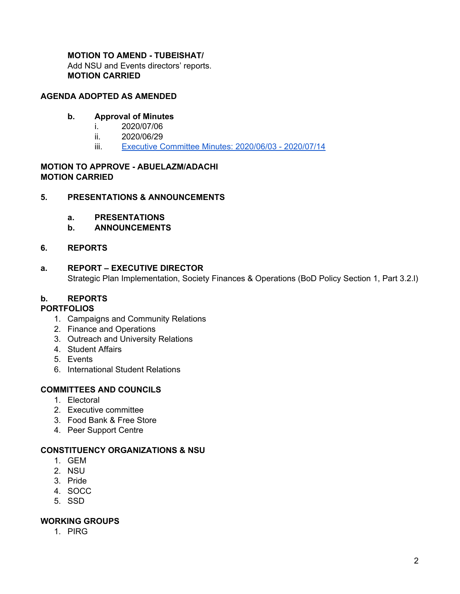# **MOTION TO AMEND - TUBEISHAT/**

Add NSU and Events directors' reports. **MOTION CARRIED**

### **AGENDA ADOPTED AS AMENDED**

### **b. Approval of Minutes**

- i. 2020/07/06
- ii. 2020/06/29
- iii. Executive Committee Minutes: 2020/06/03 2020/07/14

### **MOTION TO APPROVE - ABUELAZM/ADACHI MOTION CARRIED**

### **5. PRESENTATIONS & ANNOUNCEMENTS**

- **a. PRESENTATIONS**
- **b. ANNOUNCEMENTS**

### **6. REPORTS**

# **a. REPORT – EXECUTIVE DIRECTOR** Strategic Plan Implementation, Society Finances & Operations (BoD Policy Section 1, Part 3.2.l)

# **b. REPORTS**

### **PORTFOLIOS**

- 1. Campaigns and Community Relations
- 2. Finance and Operations
- 3. Outreach and University Relations
- 4. Student Affairs
- 5. Events
- 6. International Student Relations

# **COMMITTEES AND COUNCILS**

- 1. Electoral
- 2. Executive committee
- 3. Food Bank & Free Store
- 4. Peer Support Centre

### **CONSTITUENCY ORGANIZATIONS & NSU**

- 1. GEM
- 2. NSU
- 3. Pride
- 4. SOCC
- 5. SSD

### **WORKING GROUPS**

1. PIRG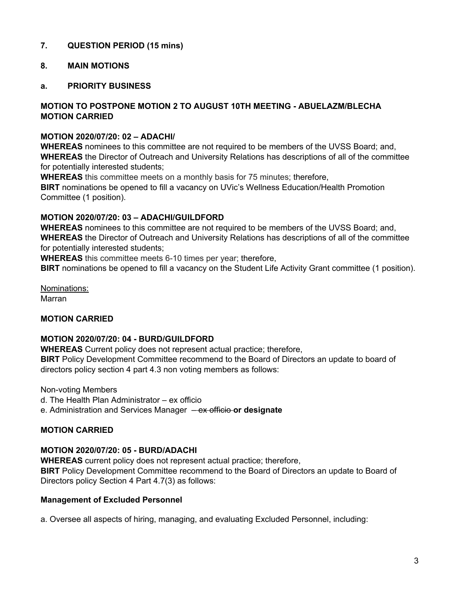# **7. QUESTION PERIOD (15 mins)**

# **8. MAIN MOTIONS**

### **a. PRIORITY BUSINESS**

### **MOTION TO POSTPONE MOTION 2 TO AUGUST 10TH MEETING - ABUELAZM/BLECHA MOTION CARRIED**

#### **MOTION 2020/07/20: 02 – ADACHI/**

**WHEREAS** nominees to this committee are not required to be members of the UVSS Board; and, **WHEREAS** the Director of Outreach and University Relations has descriptions of all of the committee for potentially interested students;

**WHEREAS** this committee meets on a monthly basis for 75 minutes; therefore, **BIRT** nominations be opened to fill a vacancy on UVic's Wellness Education/Health Promotion Committee (1 position).

### **MOTION 2020/07/20: 03 – ADACHI/GUILDFORD**

**WHEREAS** nominees to this committee are not required to be members of the UVSS Board; and, **WHEREAS** the Director of Outreach and University Relations has descriptions of all of the committee for potentially interested students;

**WHEREAS** this committee meets 6-10 times per year; therefore,

**BIRT** nominations be opened to fill a vacancy on the Student Life Activity Grant committee (1 position).

Nominations: Marran

### **MOTION CARRIED**

### **MOTION 2020/07/20: 04 - BURD/GUILDFORD**

**WHEREAS** Current policy does not represent actual practice; therefore, **BIRT** Policy Development Committee recommend to the Board of Directors an update to board of directors policy section 4 part 4.3 non voting members as follows:

Non-voting Members

d. The Health Plan Administrator – ex officio

e. Administration and Services Manager – ex officio **or designate**

### **MOTION CARRIED**

### **MOTION 2020/07/20: 05 - BURD/ADACHI**

**WHEREAS** current policy does not represent actual practice; therefore, **BIRT** Policy Development Committee recommend to the Board of Directors an update to Board of Directors policy Section 4 Part 4.7(3) as follows:

### **Management of Excluded Personnel**

a. Oversee all aspects of hiring, managing, and evaluating Excluded Personnel, including: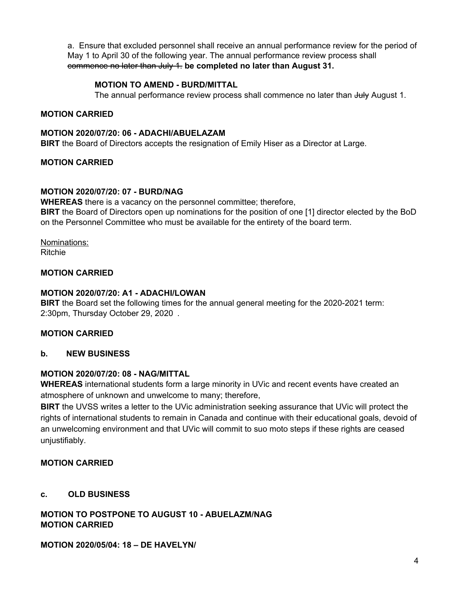a. Ensure that excluded personnel shall receive an annual performance review for the period of May 1 to April 30 of the following year. The annual performance review process shall commence no later than July 1. **be completed no later than August 31.**

# **MOTION TO AMEND - BURD/MITTAL**

The annual performance review process shall commence no later than July August 1.

### **MOTION CARRIED**

#### **MOTION 2020/07/20: 06 - ADACHI/ABUELAZAM**

**BIRT** the Board of Directors accepts the resignation of Emily Hiser as a Director at Large.

### **MOTION CARRIED**

### **MOTION 2020/07/20: 07 - BURD/NAG**

**WHEREAS** there is a vacancy on the personnel committee; therefore, **BIRT** the Board of Directors open up nominations for the position of one [1] director elected by the BoD on the Personnel Committee who must be available for the entirety of the board term.

Nominations: Ritchie

### **MOTION CARRIED**

#### **MOTION 2020/07/20: A1 - ADACHI/LOWAN**

**BIRT** the Board set the following times for the annual general meeting for the 2020-2021 term: 2:30pm, Thursday October 29, 2020 .

### **MOTION CARRIED**

#### **b. NEW BUSINESS**

### **MOTION 2020/07/20: 08 - NAG/MITTAL**

**WHEREAS** international students form a large minority in UVic and recent events have created an atmosphere of unknown and unwelcome to many; therefore,

**BIRT** the UVSS writes a letter to the UVic administration seeking assurance that UVic will protect the rights of international students to remain in Canada and continue with their educational goals, devoid of an unwelcoming environment and that UVic will commit to suo moto steps if these rights are ceased unjustifiably.

### **MOTION CARRIED**

### **c. OLD BUSINESS**

**MOTION TO POSTPONE TO AUGUST 10 - ABUELAZM/NAG MOTION CARRIED**

#### **MOTION 2020/05/04: 18 – DE HAVELYN/**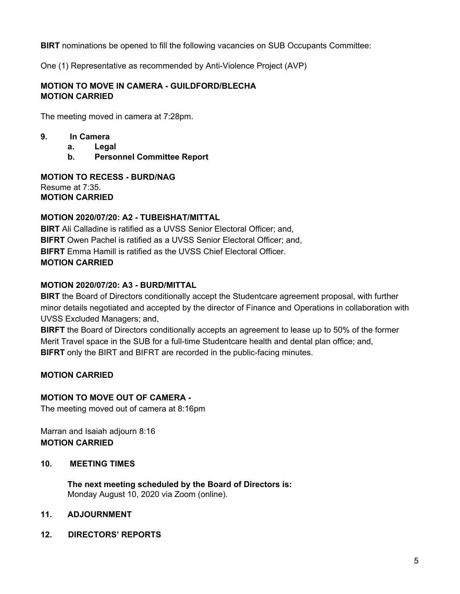**BIRT** nominations be opened to fill the following vacancies on SUB Occupants Committee:

One (1) Representative as recommended by Anti-Violence Project (AVP)

### **MOTION TO MOVE IN CAMERA - GUILDFORD/BLECHA MOTION CARRIED**

The meeting moved in camera at 7:28pm.

- **9. In Camera**
	- **a. Legal**
	- **b. Personnel Committee Report**

**MOTION TO RECESS - BURD/NAG** Resume at 7:35. **MOTION CARRIED**

### **MOTION 2020/07/20: A2 - TUBEISHAT/MITTAL**

**BIRT** Ali Calladine is ratified as a UVSS Senior Electoral Officer: and, **BIFRT** Owen Pachel is ratified as a UVSS Senior Electoral Officer; and, **BIFRT** Emma Hamill is ratified as the UVSS Chief Electoral Officer. **MOTION CARRIED**

### **MOTION 2020/07/20: A3 - BURD/MITTAL**

**BIRT** the Board of Directors conditionally accept the Studentcare agreement proposal, with further minor details negotiated and accepted by the director of Finance and Operations in collaboration with UVSS Excluded Managers; and,

**BIRFT** the Board of Directors conditionally accepts an agreement to lease up to 50% of the former Merit Travel space in the SUB for a full-time Studentcare health and dental plan office; and, **BIFRT** only the BIRT and BIFRT are recorded in the public-facing minutes.

# **MOTION CARRIED**

### **MOTION TO MOVE OUT OF CAMERA -**

The meeting moved out of camera at 8:16pm

Marran and Isaiah adjourn 8:16 **MOTION CARRIED**

### **10. MEETING TIMES**

**The next meeting scheduled by the Board of Directors is:** Monday August 10, 2020 via Zoom (online).

### **11. ADJOURNMENT**

**12. DIRECTORS' REPORTS**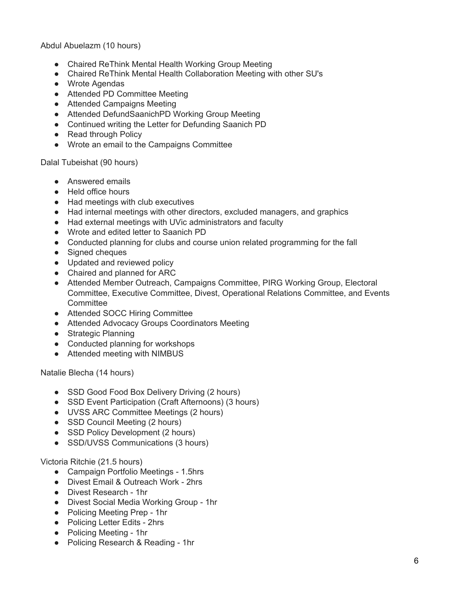Abdul Abuelazm (10 hours)

- Chaired ReThink Mental Health Working Group Meeting
- Chaired ReThink Mental Health Collaboration Meeting with other SU's
- Wrote Agendas
- Attended PD Committee Meeting
- Attended Campaigns Meeting
- Attended DefundSaanichPD Working Group Meeting
- Continued writing the Letter for Defunding Saanich PD
- Read through Policy
- Wrote an email to the Campaigns Committee

Dalal Tubeishat (90 hours)

- Answered emails
- Held office hours
- Had meetings with club executives
- Had internal meetings with other directors, excluded managers, and graphics
- Had external meetings with UVic administrators and faculty
- Wrote and edited letter to Saanich PD
- Conducted planning for clubs and course union related programming for the fall
- Signed cheques
- Updated and reviewed policy
- Chaired and planned for ARC
- Attended Member Outreach, Campaigns Committee, PIRG Working Group, Electoral Committee, Executive Committee, Divest, Operational Relations Committee, and Events **Committee**
- Attended SOCC Hiring Committee
- Attended Advocacy Groups Coordinators Meeting
- Strategic Planning
- Conducted planning for workshops
- Attended meeting with NIMBUS

Natalie Blecha (14 hours)

- SSD Good Food Box Delivery Driving (2 hours)
- SSD Event Participation (Craft Afternoons) (3 hours)
- UVSS ARC Committee Meetings (2 hours)
- SSD Council Meeting (2 hours)
- SSD Policy Development (2 hours)
- SSD/UVSS Communications (3 hours)

Victoria Ritchie (21.5 hours)

- Campaign Portfolio Meetings 1.5hrs
- Divest Email & Outreach Work 2hrs
- Divest Research 1hr
- Divest Social Media Working Group 1hr
- Policing Meeting Prep 1hr
- Policing Letter Edits 2hrs
- Policing Meeting 1hr
- Policing Research & Reading 1hr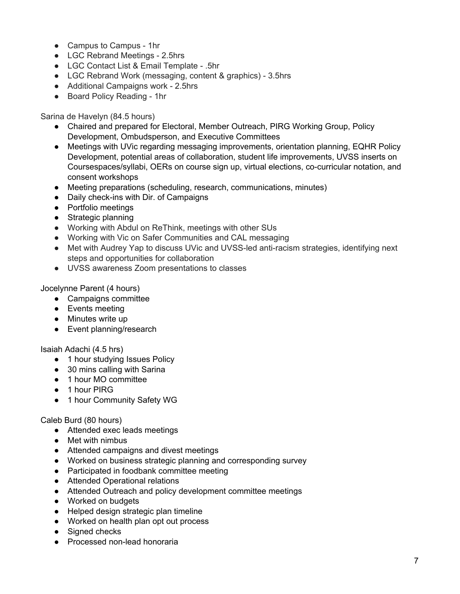- Campus to Campus 1hr
- LGC Rebrand Meetings 2.5hrs
- LGC Contact List & Email Template .5hr
- LGC Rebrand Work (messaging, content & graphics) 3.5hrs
- Additional Campaigns work 2.5hrs
- Board Policy Reading 1hr

Sarina de Havelyn (84.5 hours)

- Chaired and prepared for Electoral, Member Outreach, PIRG Working Group, Policy Development, Ombudsperson, and Executive Committees
- Meetings with UVic regarding messaging improvements, orientation planning, EQHR Policy Development, potential areas of collaboration, student life improvements, UVSS inserts on Coursespaces/syllabi, OERs on course sign up, virtual elections, co-curricular notation, and consent workshops
- Meeting preparations (scheduling, research, communications, minutes)
- Daily check-ins with Dir. of Campaigns
- Portfolio meetings
- Strategic planning
- Working with Abdul on ReThink, meetings with other SUs
- Working with Vic on Safer Communities and CAL messaging
- Met with Audrey Yap to discuss UVic and UVSS-led anti-racism strategies, identifying next steps and opportunities for collaboration
- UVSS awareness Zoom presentations to classes

Jocelynne Parent (4 hours)

- Campaigns committee
- Events meeting
- Minutes write up
- Event planning/research

Isaiah Adachi (4.5 hrs)

- 1 hour studying Issues Policy
- 30 mins calling with Sarina
- 1 hour MO committee
- 1 hour PIRG
- 1 hour Community Safety WG

#### Caleb Burd (80 hours)

- Attended exec leads meetings
- Met with nimbus
- Attended campaigns and divest meetings
- Worked on business strategic planning and corresponding survey
- Participated in foodbank committee meeting
- Attended Operational relations
- Attended Outreach and policy development committee meetings
- Worked on budgets
- Helped design strategic plan timeline
- Worked on health plan opt out process
- Signed checks
- Processed non-lead honoraria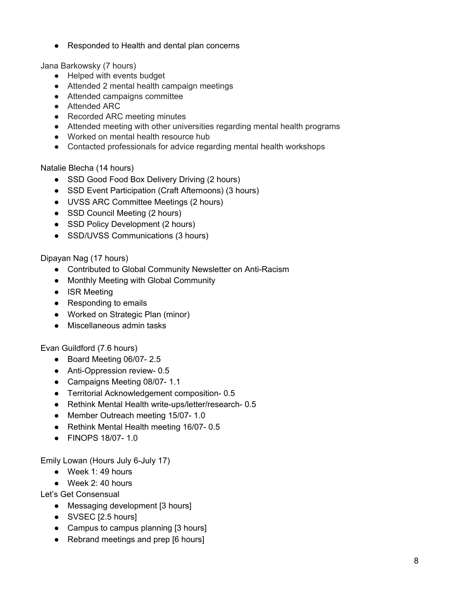● Responded to Health and dental plan concerns

Jana Barkowsky (7 hours)

- Helped with events budget
- Attended 2 mental health campaign meetings
- Attended campaigns committee
- Attended ARC
- Recorded ARC meeting minutes
- Attended meeting with other universities regarding mental health programs
- Worked on mental health resource hub
- Contacted professionals for advice regarding mental health workshops

Natalie Blecha (14 hours)

- SSD Good Food Box Delivery Driving (2 hours)
- SSD Event Participation (Craft Afternoons) (3 hours)
- UVSS ARC Committee Meetings (2 hours)
- SSD Council Meeting (2 hours)
- SSD Policy Development (2 hours)
- SSD/UVSS Communications (3 hours)

Dipayan Nag (17 hours)

- Contributed to Global Community Newsletter on Anti-Racism
- Monthly Meeting with Global Community
- ISR Meeting
- Responding to emails
- Worked on Strategic Plan (minor)
- Miscellaneous admin tasks

Evan Guildford (7.6 hours)

- Board Meeting 06/07- 2.5
- Anti-Oppression review- 0.5
- Campaigns Meeting 08/07- 1.1
- Territorial Acknowledgement composition- 0.5
- Rethink Mental Health write-ups/letter/research- 0.5
- Member Outreach meeting 15/07-1.0
- Rethink Mental Health meeting 16/07- 0.5
- FINOPS 18/07- 1.0

Emily Lowan (Hours July 6-July 17)

- $\bullet$  Week 1:49 hours
- Week 2: 40 hours

Let's Get Consensual

- Messaging development [3 hours]
- SVSEC [2.5 hours]
- Campus to campus planning [3 hours]
- Rebrand meetings and prep [6 hours]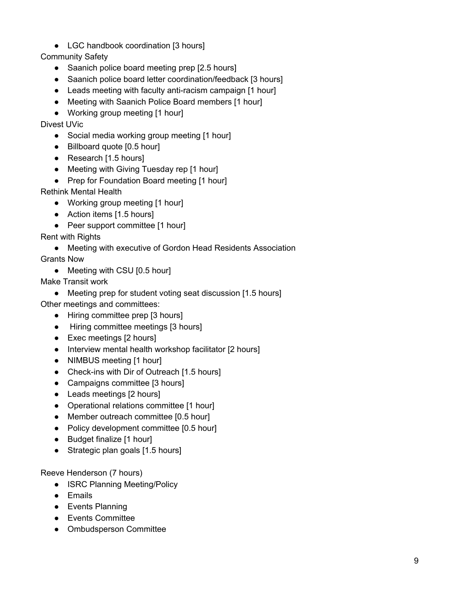● LGC handbook coordination [3 hours]

Community Safety

- Saanich police board meeting prep [2.5 hours]
- Saanich police board letter coordination/feedback [3 hours]
- Leads meeting with faculty anti-racism campaign [1 hour]
- Meeting with Saanich Police Board members [1 hour]
- Working group meeting [1 hour]

Divest UVic

- Social media working group meeting [1 hour]
- Billboard quote [0.5 hour]
- Research [1.5 hours]
- Meeting with Giving Tuesday rep [1 hour]
- Prep for Foundation Board meeting [1 hour]

Rethink Mental Health

- Working group meeting [1 hour]
- Action items [1.5 hours]
- Peer support committee [1 hour]

Rent with Rights

● Meeting with executive of Gordon Head Residents Association

Grants Now

• Meeting with CSU [0.5 hour]

Make Transit work

• Meeting prep for student voting seat discussion [1.5 hours]

Other meetings and committees:

- Hiring committee prep [3 hours]
- Hiring committee meetings [3 hours]
- Exec meetings [2 hours]
- Interview mental health workshop facilitator [2 hours]
- NIMBUS meeting [1 hour]
- Check-ins with Dir of Outreach [1.5 hours]
- Campaigns committee [3 hours]
- Leads meetings [2 hours]
- Operational relations committee [1 hour]
- Member outreach committee [0.5 hour]
- Policy development committee [0.5 hour]
- Budget finalize [1 hour]
- Strategic plan goals [1.5 hours]

Reeve Henderson (7 hours)

- ISRC Planning Meeting/Policy
- Emails
- Events Planning
- Events Committee
- Ombudsperson Committee